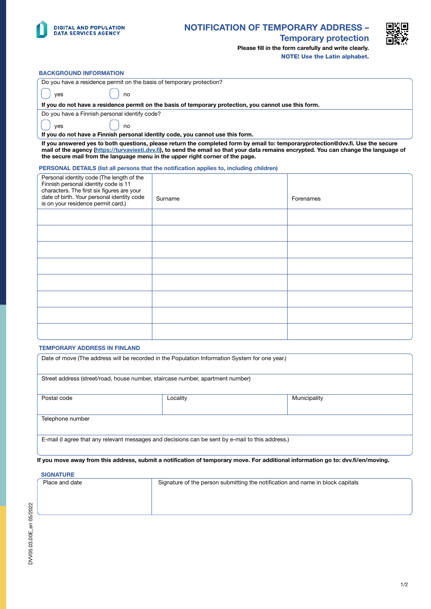

## NOTIFICATION OF TEMPORARY ADDRESS –



Temporary protection

Please fill in the form carefully and write clearly. NOTE! Use the Latin alphabet.

### BACKGROUND INFORMATION

|  | Do you have a residence permit on the basis of temporary protection?                                                                                   |  |  |
|--|--------------------------------------------------------------------------------------------------------------------------------------------------------|--|--|
|  | no<br>ves                                                                                                                                              |  |  |
|  | If you do not have a residence permit on the basis of temporary protection, you cannot use this form.<br>Do you have a Finnish personal identify code? |  |  |
|  |                                                                                                                                                        |  |  |
|  | no<br>ves                                                                                                                                              |  |  |

If you do not have a Finnish personal identity code, you cannot use this form.

If you answered yes to both questions, please return the completed form by email to: temporaryprotection@dvv.fi. Use the secure mail of the agency [\(https://turvaviesti.dvv.fi](https://turvaviesti.dvv.fi)), to send the email so that your data remains encrypted. You can change the language of the secure mail from the language menu in the upper right corner of the page.

#### PERSONAL DETAILS (list all persons that the notification applies to, including children)

| Personal identity code (The length of the<br>Finnish personal identity code is 11<br>characters. The first six figures are your<br>date of birth. Your personal identity code<br>is on your residence permit card.) | Surname | Forenames |
|---------------------------------------------------------------------------------------------------------------------------------------------------------------------------------------------------------------------|---------|-----------|
|                                                                                                                                                                                                                     |         |           |
|                                                                                                                                                                                                                     |         |           |
|                                                                                                                                                                                                                     |         |           |
|                                                                                                                                                                                                                     |         |           |
|                                                                                                                                                                                                                     |         |           |
|                                                                                                                                                                                                                     |         |           |
|                                                                                                                                                                                                                     |         |           |
|                                                                                                                                                                                                                     |         |           |

### TEMPORARY ADDRESS IN FINLAND

| Date of move (The address will be recorded in the Population Information System for one year.)<br>Street address (street/road, house number, staircase number, apartment number) |  |  |  |  |             |
|----------------------------------------------------------------------------------------------------------------------------------------------------------------------------------|--|--|--|--|-------------|
|                                                                                                                                                                                  |  |  |  |  | Postal code |
| Telephone number                                                                                                                                                                 |  |  |  |  |             |
| E-mail (I agree that any relevant messages and decisions can be sent by e-mail to this address.)                                                                                 |  |  |  |  |             |

### If you move away from this address, submit a notification of temporary move. For additional information go to: dvv.fi/en/moving.

### **SIGNATURE**

| Place and date | Signature of the person submitting the notification and name in block capitals |  |
|----------------|--------------------------------------------------------------------------------|--|
|                |                                                                                |  |
|                |                                                                                |  |
|                |                                                                                |  |